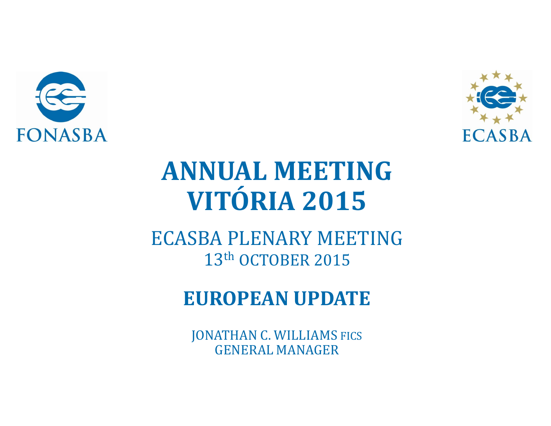



### **ANNUAL MEETING VITÓRIA 2015**

ECASBA PLENARY MEETING 13th OCTOBER 2015

### **EUROPEAN UPDATE**

JONATHAN C. WILLIAMS FICS GENERAL MANAGER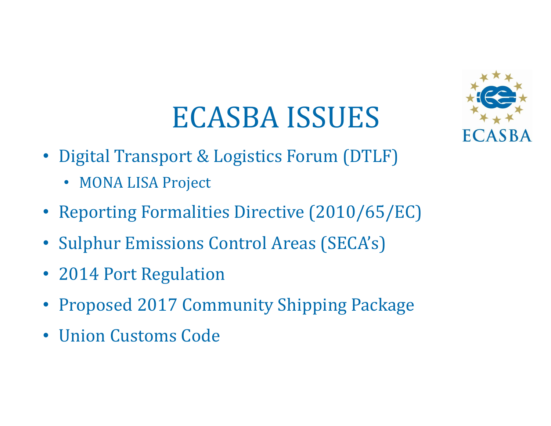# ECASBA ISSUES



- Digital Transport & Logistics Forum (DTLF)
	- MONA LISA Project
- Reporting Formalities Directive (2010/65/EC)
- Sulphur Emissions Control Areas (SECA's)
- 2014 Port Regulation
- Proposed 2017 Community Shipping Package
- Union Customs Code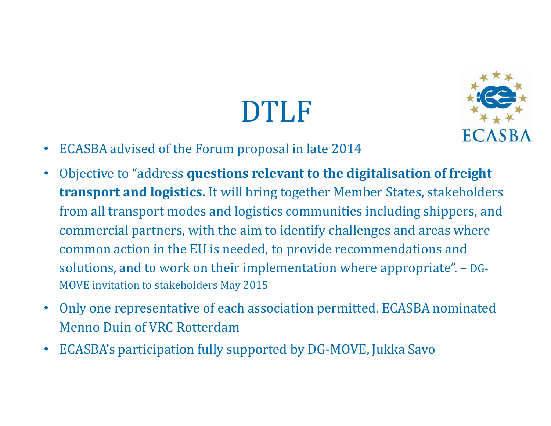# DTI.F



- ECASBA advised of the Forum proposal in late 2014
- Objective to "address **questions relevant to the digitalisation of freight transport and logistics.** It will bring together Member States, stakeholders from all transport modes and logistics communities including shippers, and commercial partners, with the aim to identify challenges and areas where common action in the EU is needed, to provide recommendations and solutions, and to work on their implementation where appropriate". – DG-MOVE invitation to stakeholders May 2015
- Only one representative of each association permitted. ECASBA nominated Menno Duin of VRC Rotterdam
- ECASBA's participation fully supported by DG-MOVE, Jukka Savo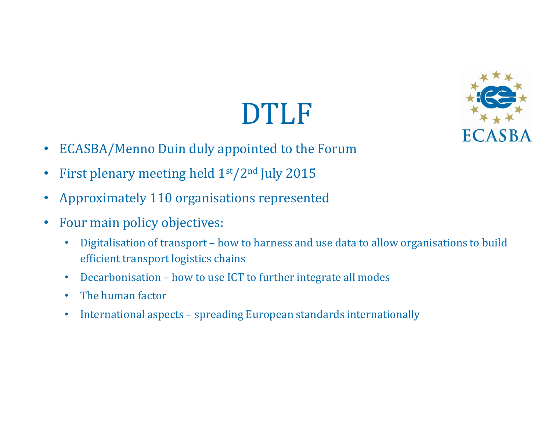

- ECASBA/Menno Duin duly appointed to the Forum
- First plenary meeting held 1st/2nd July 2015
- Approximately 110 organisations represented
- Four main policy objectives:
	- Digitalisation of transport how to harness and use data to allow organisations to build efficient transport logistics chains
	- Decarbonisation how to use ICT to further integrate all modes
	- The human factor
	- International aspects spreading European standards internationally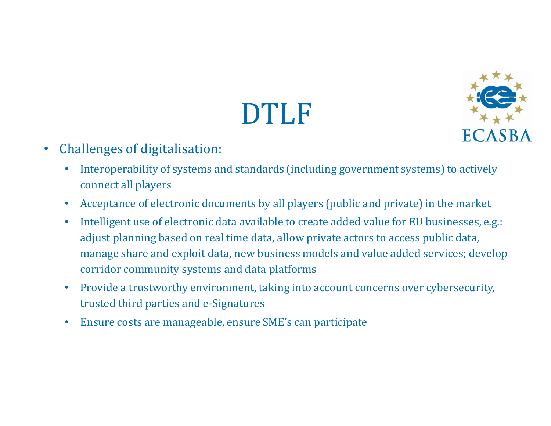

- Challenges of digitalisation:
	- Interoperability of systems and standards (including government systems) to actively connect all players
	- Acceptance of electronic documents by all players (public and private) in the market
	- Intelligent use of electronic data available to create added value for EU businesses, e.g.: adjust planning based on real time data, allow private actors to access public data, manage share and exploit data, new business models and value added services; develop corridor community systems and data platforms
	- Provide a trustworthy environment, taking into account concerns over cybersecurity, trusted third parties and e-Signatures
	- Ensure costs are manageable, ensure SME's can participate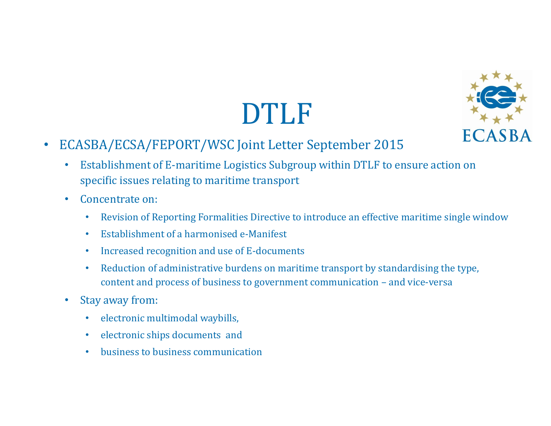

- ECASBA/ECSA/FEPORT/WSC Joint Letter September 2015
	- Establishment of E-maritime Logistics Subgroup within DTLF to ensure action on specific issues relating to maritime transport
	- Concentrate on:
		- Revision of Reporting Formalities Directive to introduce an effective maritime single window
		- Establishment of a harmonised e-Manifest
		- Increased recognition and use of E-documents
		- Reduction of administrative burdens on maritime transport by standardising the type, content and process of business to government communication – and vice-versa
	- Stay away from:
		- electronic multimodal waybills,
		- electronic ships documents and
		- business to business communication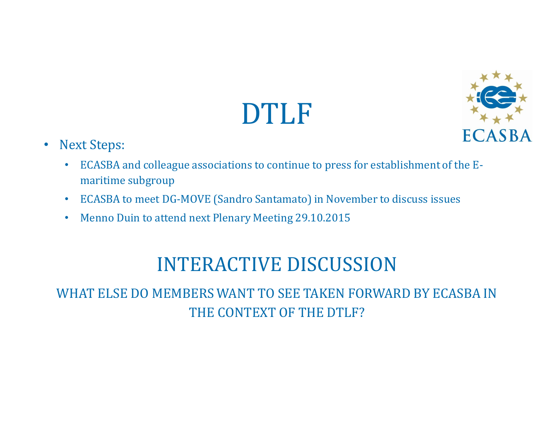

- Next Steps:
	- ECASBA and colleague associations to continue to press for establishment of the Emaritime subgroup
	- ECASBA to meet DG-MOVE (Sandro Santamato) in November to discuss issues
	- Menno Duin to attend next Plenary Meeting 29.10.2015

### INTERACTIVE DISCUSSION

#### WHAT ELSE DO MEMBERS WANT TO SEE TAKEN FORWARD BY ECASBA IN THE CONTEXT OF THE DTLF?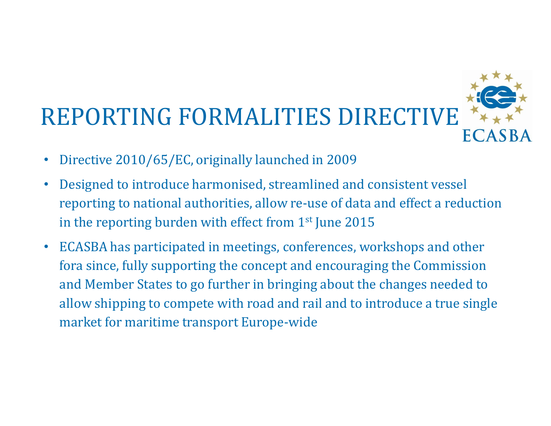

- Directive 2010/65/EC, originally launched in 2009
- Designed to introduce harmonised, streamlined and consistent vessel reporting to national authorities, allow re-use of data and effect a reduction in the reporting burden with effect from 1st June 2015
- ECASBA has participated in meetings, conferences, workshops and other fora since, fully supporting the concept and encouraging the Commission and Member States to go further in bringing about the changes needed to allow shipping to compete with road and rail and to introduce a true single market for maritime transport Europe-wide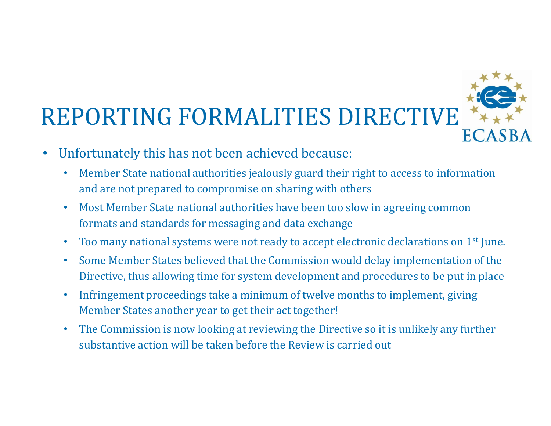## REPORTING FORMALITIES DIRECTIVE **ECASBA**

- Unfortunately this has not been achieved because:
	- Member State national authorities jealously guard their right to access to information and are not prepared to compromise on sharing with others
	- Most Member State national authorities have been too slow in agreeing common formats and standards for messaging and data exchange
	- Too many national systems were not ready to accept electronic declarations on 1<sup>st</sup> June.
	- Some Member States believed that the Commission would delay implementation of the Directive, thus allowing time for system development and procedures to be put in place
	- Infringement proceedings take a minimum of twelve months to implement, giving Member States another year to get their act together!
	- The Commission is now looking at reviewing the Directive so it is unlikely any further substantive action will be taken before the Review is carried out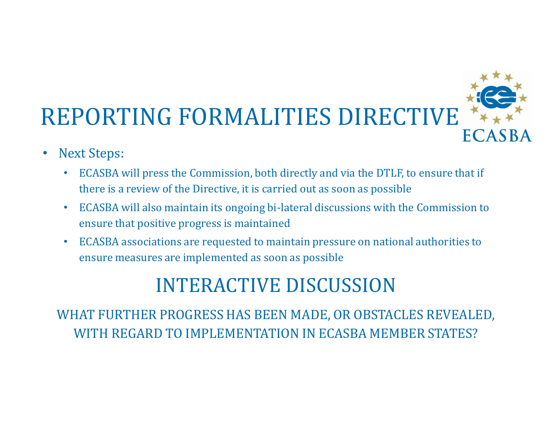

- Next Steps:
	- ECASBA will press the Commission, both directly and via the DTLF, to ensure that if there is a review of the Directive, it is carried out as soon as possible
	- ECASBA will also maintain its ongoing bi-lateral discussions with the Commission to ensure that positive progress is maintained
	- ECASBA associations are requested to maintain pressure on national authorities to ensure measures are implemented as soon as possible

### INTERACTIVE DISCUSSION

WHAT FURTHER PROGRESS HAS BEEN MADE, OR OBSTACLES REVEALED, WITH REGARD TO IMPLEMENTATION IN ECASBA MEMBER STATES?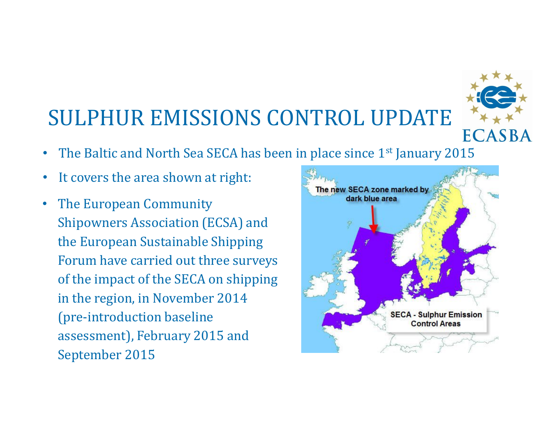### SULPHUR EMISSIONS CONTROL UPDATE

- ECASBA
- The Baltic and North Sea SECA has been in place since 1st January 2015
- It covers the area shown at right:
- The European Community Shipowners Association (ECSA) and the European Sustainable Shipping Forum have carried out three surveys of the impact of the SECA on shipping in the region, in November 2014 (pre-introduction baseline assessment), February 2015 and September 2015

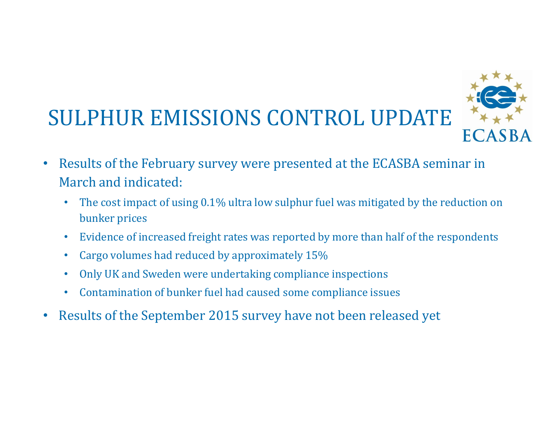

- Results of the February survey were presented at the ECASBA seminar in March and indicated:
	- The cost impact of using 0.1% ultra low sulphur fuel was mitigated by the reduction on bunker prices
	- Evidence of increased freight rates was reported by more than half of the respondents
	- Cargo volumes had reduced by approximately 15%
	- Only UK and Sweden were undertaking compliance inspections
	- Contamination of bunker fuel had caused some compliance issues
- Results of the September 2015 survey have not been released yet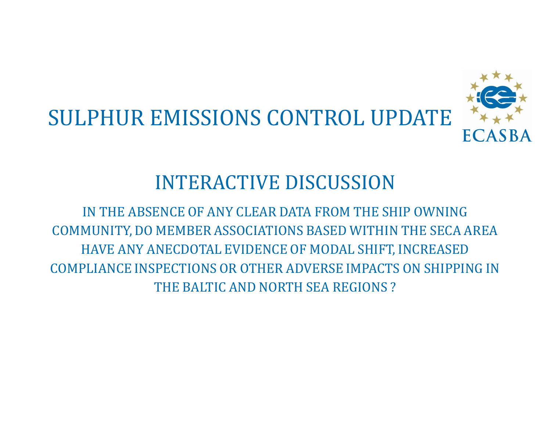

### INTERACTIVE DISCUSSION

IN THE ABSENCE OF ANY CLEAR DATA FROM THE SHIP OWNING COMMUNITY, DO MEMBER ASSOCIATIONS BASED WITHIN THE SECA AREA HAVE ANY ANECDOTAL EVIDENCE OF MODAL SHIFT, INCREASED COMPLIANCE INSPECTIONS OR OTHER ADVERSE IMPACTS ON SHIPPING IN THE BALTIC AND NORTH SEA REGIONS ?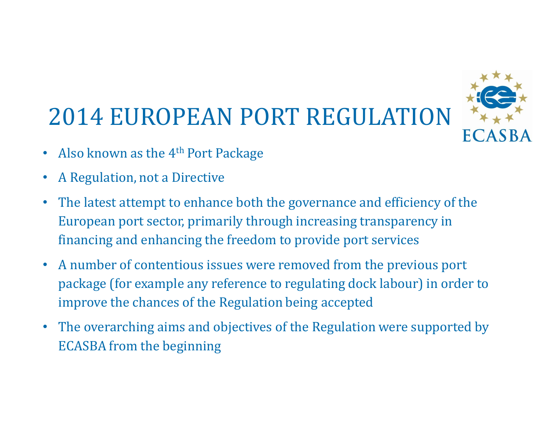## 2014 EUROPEAN PORT REGULATION



- Also known as the 4<sup>th</sup> Port Package
- A Regulation, not a Directive
- The latest attempt to enhance both the governance and efficiency of the European port sector, primarily through increasing transparency in financing and enhancing the freedom to provide port services
- A number of contentious issues were removed from the previous port package (for example any reference to regulating dock labour) in order to improve the chances of the Regulation being accepted
- The overarching aims and objectives of the Regulation were supported by ECASBA from the beginning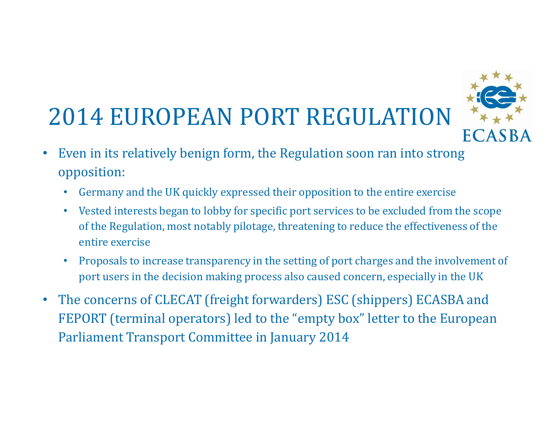### 2014 EUROPEAN PORT REGULATION



- Even in its relatively benign form, the Regulation soon ran into strong opposition:
	- Germany and the UK quickly expressed their opposition to the entire exercise
	- Vested interests began to lobby for specific port services to be excluded from the scope of the Regulation, most notably pilotage, threatening to reduce the effectiveness of the entire exercise
	- Proposals to increase transparency in the setting of port charges and the involvement of port users in the decision making process also caused concern, especially in the UK
- The concerns of CLECAT (freight forwarders) ESC (shippers) ECASBA and FEPORT (terminal operators) led to the "empty box" letter to the European Parliament Transport Committee in January 2014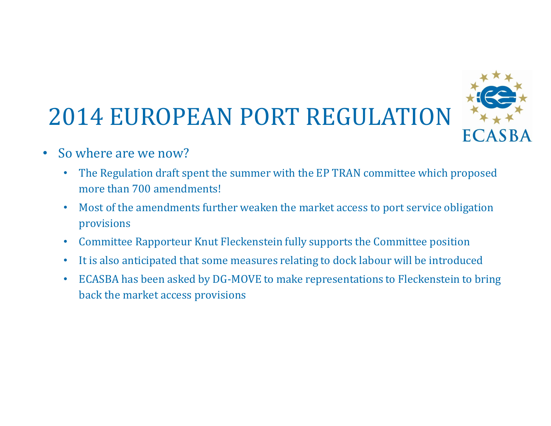# 2014 EUROPEAN PORT REGULATION **ECASBA**

- So where are we now?
	- The Regulation draft spent the summer with the EP TRAN committee which proposed more than 700 amendments!
	- Most of the amendments further weaken the market access to port service obligation provisions
	- Committee Rapporteur Knut Fleckenstein fully supports the Committee position
	- It is also anticipated that some measures relating to dock labour will be introduced
	- ECASBA has been asked by DG-MOVE to make representations to Fleckenstein to bring back the market access provisions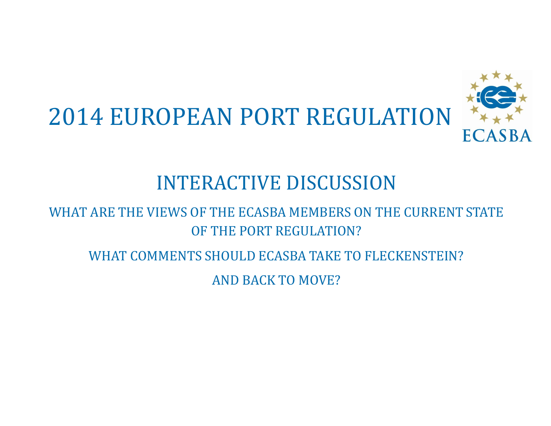

### INTERACTIVE DISCUSSION

#### WHAT ARE THE VIEWS OF THE ECASBA MEMBERS ON THE CURRENT STATE OF THE PORT REGULATION?

WHAT COMMENTS SHOULD ECASBA TAKE TO FLECKENSTEIN?

AND BACK TO MOVE?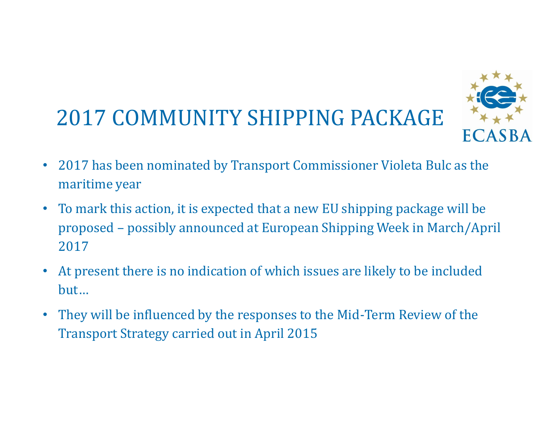### 2017 COMMUNITY SHIPPING PACKAGE



- 2017 has been nominated by Transport Commissioner Violeta Bulc as the maritime year
- To mark this action, it is expected that a new EU shipping package will be proposed – possibly announced at European Shipping Week in March/April 2017
- At present there is no indication of which issues are likely to be included but…
- They will be influenced by the responses to the Mid-Term Review of the Transport Strategy carried out in April 2015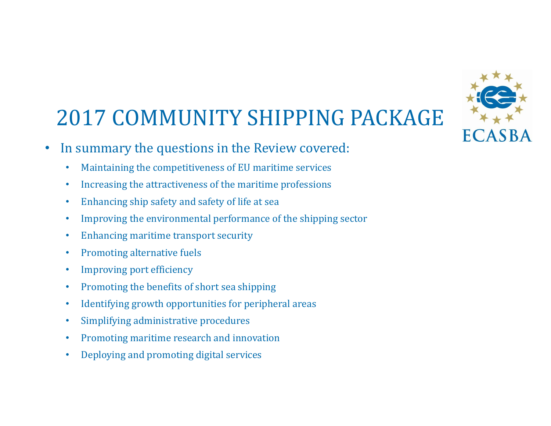

### 2017 COMMUNITY SHIPPING PACKAGE

- In summary the questions in the Review covered:
	- Maintaining the competitiveness of EU maritime services
	- Increasing the attractiveness of the maritime professions
	- Enhancing ship safety and safety of life at sea
	- Improving the environmental performance of the shipping sector
	- Enhancing maritime transport security
	- Promoting alternative fuels
	- Improving port efficiency
	- Promoting the benefits of short sea shipping
	- Identifying growth opportunities for peripheral areas
	- Simplifying administrative procedures
	- Promoting maritime research and innovation
	- Deploying and promoting digital services